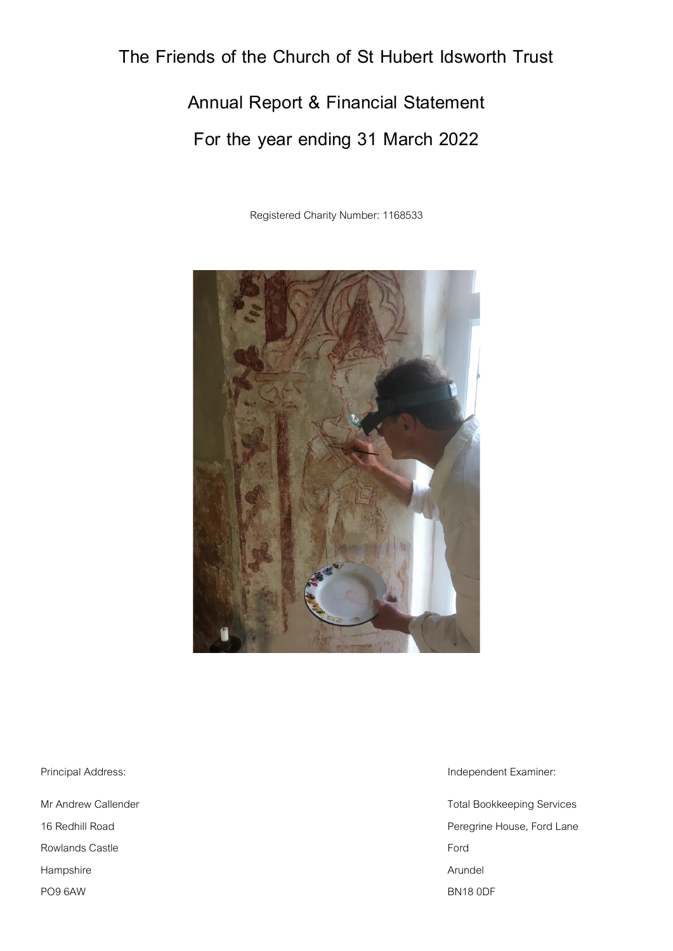# **The Friends of the Church of St Hubert Idsworth Trust**

**Annual Report & Financial Statement For the year ending 31 March 2022**

Registered Charity Number: 1168533



Rowlands Castle **Ford** Hampshire **Arundel Arundel Arundel Arundel Arundel** PO9 6AW BN18 0DF

Principal Address: **Independent Examiner:** Independent Examiner:

Mr Andrew Callender **Total Bookkeeping Services** 16 Redhill Road **Peregrine House, Ford Lane**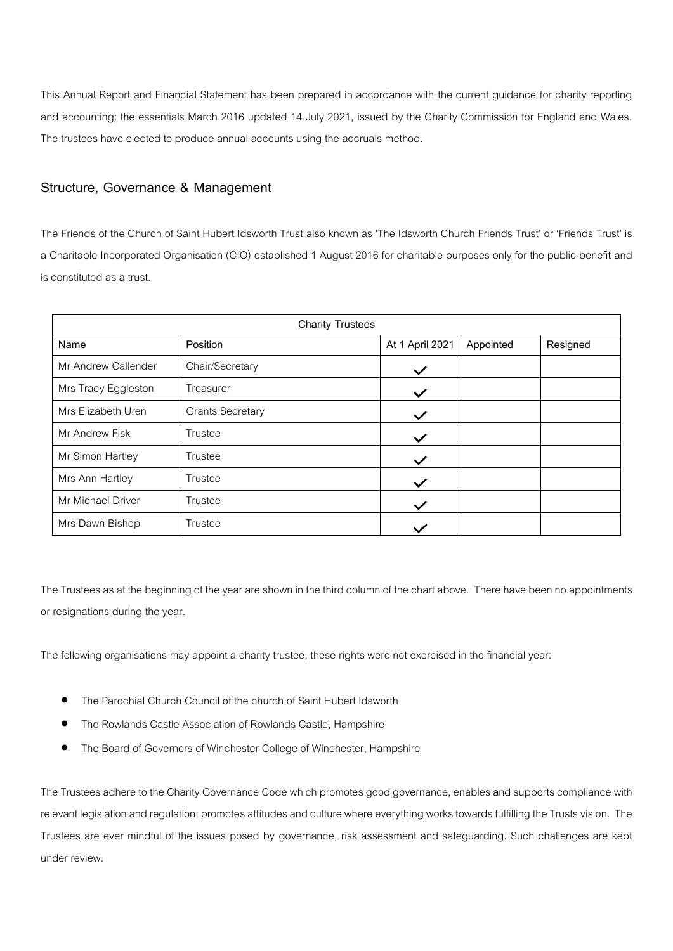This Annual Report and Financial Statement has been prepared in accordance with the current guidance for charity reporting and accounting: the essentials March 2016 updated 14 July 2021, issued by the Charity Commission for England and Wales. The trustees have elected to produce annual accounts using the accruals method.

## **Structure, Governance & Management**

The Friends of the Church of Saint Hubert Idsworth Trust also known as 'The Idsworth Church Friends Trust' or 'Friends Trust' is a Charitable Incorporated Organisation (CIO) established 1 August 2016 for charitable purposes only for the public benefit and is constituted as a trust.

| <b>Charity Trustees</b> |                         |                 |           |          |  |  |  |  |  |  |
|-------------------------|-------------------------|-----------------|-----------|----------|--|--|--|--|--|--|
| Name                    | Position                | At 1 April 2021 | Appointed | Resigned |  |  |  |  |  |  |
| Mr Andrew Callender     | Chair/Secretary         | $\checkmark$    |           |          |  |  |  |  |  |  |
| Mrs Tracy Eggleston     | Treasurer               | $\checkmark$    |           |          |  |  |  |  |  |  |
| Mrs Elizabeth Uren      | <b>Grants Secretary</b> | $\checkmark$    |           |          |  |  |  |  |  |  |
| Mr Andrew Fisk          | Trustee                 | $\checkmark$    |           |          |  |  |  |  |  |  |
| Mr Simon Hartley        | Trustee                 | $\checkmark$    |           |          |  |  |  |  |  |  |
| Mrs Ann Hartley         | Trustee                 | $\checkmark$    |           |          |  |  |  |  |  |  |
| Mr Michael Driver       | Trustee                 | $\checkmark$    |           |          |  |  |  |  |  |  |
| Mrs Dawn Bishop         | Trustee                 |                 |           |          |  |  |  |  |  |  |

The Trustees as at the beginning of the year are shown in the third column of the chart above. There have been no appointments or resignations during the year.

The following organisations may appoint a charity trustee, these rights were not exercised in the financial year:

- The Parochial Church Council of the church of Saint Hubert Idsworth
- The Rowlands Castle Association of Rowlands Castle, Hampshire
- The Board of Governors of Winchester College of Winchester, Hampshire

The Trustees adhere to the Charity Governance Code which promotes good governance, enables and supports compliance with relevant legislation and regulation; promotes attitudes and culture where everything works towards fulfilling the Trusts vision. The Trustees are ever mindful of the issues posed by governance, risk assessment and safeguarding. Such challenges are kept under review.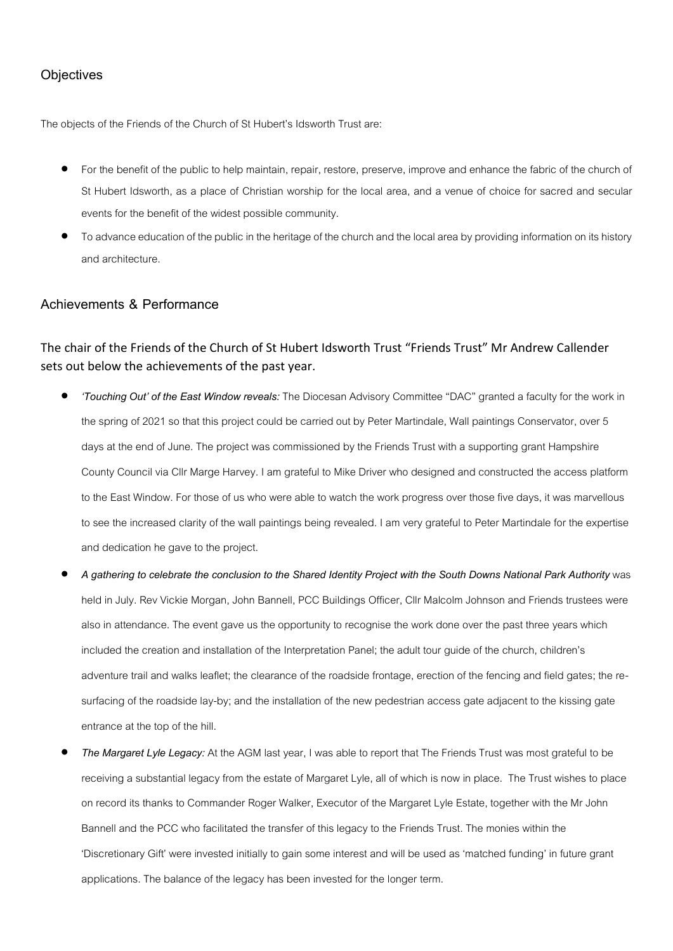## **Objectives**

The objects of the Friends of the Church of St Hubert's Idsworth Trust are:

- For the benefit of the public to help maintain, repair, restore, preserve, improve and enhance the fabric of the church of St Hubert Idsworth, as a place of Christian worship for the local area, and a venue of choice for sacred and secular events for the benefit of the widest possible community.
- To advance education of the public in the heritage of the church and the local area by providing information on its history and architecture.

## **Achievements & Performance**

## The chair of the Friends of the Church of St Hubert Idsworth Trust "Friends Trust" Mr Andrew Callender sets out below the achievements of the past year.

- *'Touching Out' of the East Window reveals:*The Diocesan Advisory Committee "DAC" granted a faculty for the work in the spring of 2021 so that this project could be carried out by Peter Martindale, Wall paintings Conservator, over 5 days at the end of June. The project was commissioned by the Friends Trust with a supporting grant Hampshire County Council via Cllr Marge Harvey. I am grateful to Mike Driver who designed and constructed the access platform to the East Window. For those of us who were able to watch the work progress over those five days, it was marvellous to see the increased clarity of the wall paintings being revealed. I am very grateful to Peter Martindale for the expertise and dedication he gave to the project.
- *A gathering to celebrate the conclusion to the Shared Identity Project with the South Downs National Park Authority* was held in July. Rev Vickie Morgan, John Bannell, PCC Buildings Officer, Cllr Malcolm Johnson and Friends trustees were also in attendance. The event gave us the opportunity to recognise the work done over the past three years which included the creation and installation of the Interpretation Panel; the adult tour guide of the church, children's adventure trail and walks leaflet; the clearance of the roadside frontage, erection of the fencing and field gates; the resurfacing of the roadside lay-by; and the installation of the new pedestrian access gate adjacent to the kissing gate entrance at the top of the hill.
- *The Margaret Lyle Legacy:* At the AGM last year, I was able to report that The Friends Trust was most grateful to be receiving a substantial legacy from the estate of Margaret Lyle, all of which is now in place. The Trust wishes to place on record its thanks to Commander Roger Walker, Executor of the Margaret Lyle Estate, together with the Mr John Bannell and the PCC who facilitated the transfer of this legacy to the Friends Trust. The monies within the 'Discretionary Gift' were invested initially to gain some interest and will be used as 'matched funding' in future grant applications. The balance of the legacy has been invested for the longer term.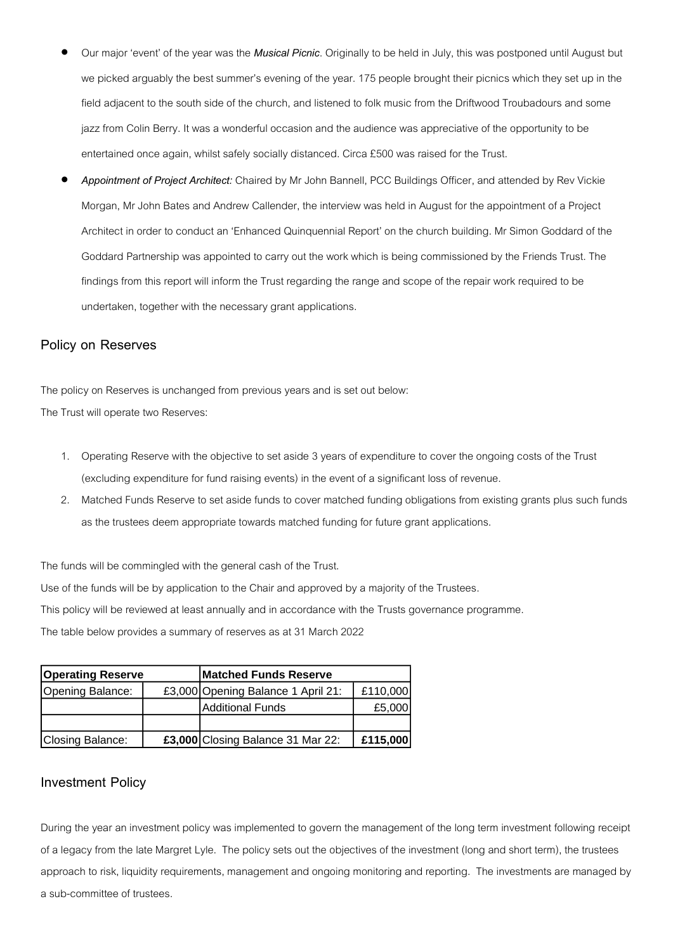- Our major 'event' of the year was the *Musical Picnic*. Originally to be held in July, this was postponed until August but we picked arguably the best summer's evening of the year. 175 people brought their picnics which they set up in the field adjacent to the south side of the church, and listened to folk music from the Driftwood Troubadours and some jazz from Colin Berry. It was a wonderful occasion and the audience was appreciative of the opportunity to be entertained once again, whilst safely socially distanced. Circa £500 was raised for the Trust.
- *Appointment of Project Architect:* Chaired by Mr John Bannell, PCC Buildings Officer, and attended by Rev Vickie Morgan, Mr John Bates and Andrew Callender, the interview was held in August for the appointment of a Project Architect in order to conduct an 'Enhanced Quinquennial Report' on the church building. Mr Simon Goddard of the Goddard Partnership was appointed to carry out the work which is being commissioned by the Friends Trust. The findings from this report will inform the Trust regarding the range and scope of the repair work required to be undertaken, together with the necessary grant applications.

## **Policy on Reserves**

The policy on Reserves is unchanged from previous years and is set out below: The Trust will operate two Reserves:

- 1. Operating Reserve with the objective to set aside 3yearsof expenditure to cover the ongoing costs of the Trust (excluding expenditure for fund raising events) in the event of a significant loss of revenue.
- 2. Matched Funds Reserve to set aside funds to cover matched funding obligations from existing grants plus such funds as the trustees deem appropriate towards matched funding for future grant applications.

The funds will be commingled with the general cash of the Trust.

Use of the funds will be by application to the Chair and approved by a majority of the Trustees.

This policy will be reviewed at least annually and in accordance with the Trusts governance programme.

The table below provides a summary of reserves as at 31 March 2022

| <b>Operating Reserve</b> | <b>Matched Funds Reserve</b>       |          |  |  |
|--------------------------|------------------------------------|----------|--|--|
| Opening Balance:         | £3,000 Opening Balance 1 April 21: | £110,000 |  |  |
|                          | <b>Additional Funds</b>            | £5,000   |  |  |
|                          |                                    |          |  |  |
| Closing Balance:         | £3,000 Closing Balance 31 Mar 22:  | £115,000 |  |  |

## **Investment Policy**

During the year an investment policy was implemented to govern the management of the long term investment following receipt of alegacy from the late Margret Lyle. The policy sets out the objectives of the investment (long and short term), the trustees approach to risk, liquidity requirements, management and ongoing monitoring and reporting. The investments are managed by Gpening Balance: £3,000 Opening Balance 1 April 21: £110,000<br>Additional Funds £5,000<br>Closing Balance: **£3,000** Closing Balance 31 Mar 22: **£115,000**<br>Investment Policy<br>During the year an investment policy was implemented to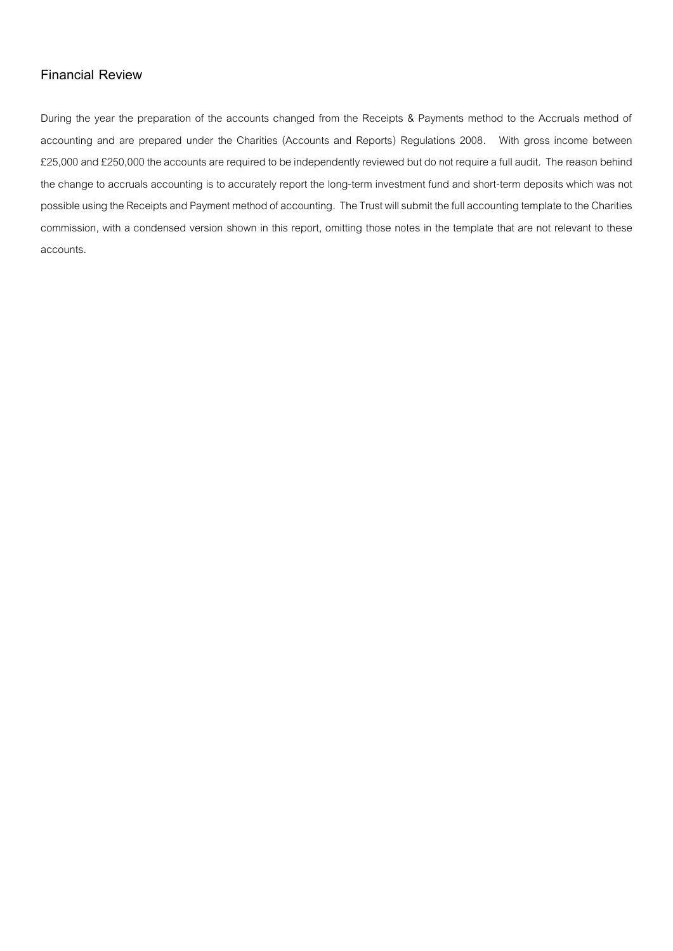## **Financial Review**

During the year the preparation of the accounts changed from the Receipts & Payments method to the Accruals method of accounting and are prepared under the Charities (Accounts and Reports) Regulations 2008. With gross income between £25,000 and £250,000 the accounts are required to be independently reviewed but do not require a full audit. The reason behind the change to accruals accounting is to accurately report the long-term investment fund and short-term deposits which was not possible using the Receipts and Payment method of accounting. The Trust will submit the full accounting template to the Charities commission, with a condensed version shown in this report, omitting those notes in the template that are not relevant to these accounts.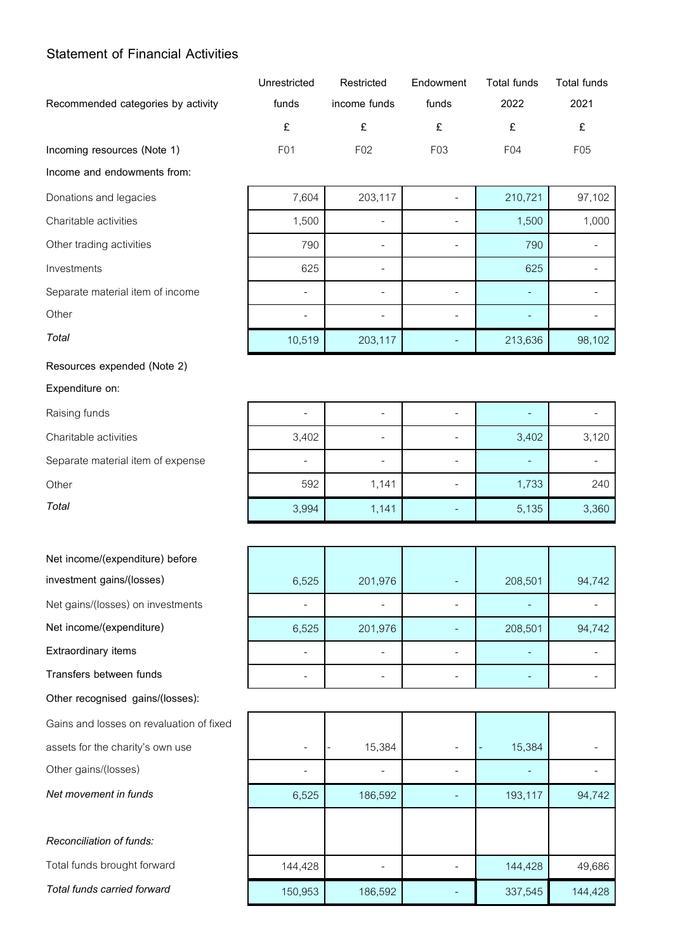## **Statement of Financial Activities**

|                                    | Unrestricted | Restricted      | Endowment        | Total funds     | Total funds     |
|------------------------------------|--------------|-----------------|------------------|-----------------|-----------------|
| Recommended categories by activity | funds        | income funds    | funds            | 2022            | 2021            |
|                                    |              |                 |                  |                 |                 |
| Incoming resources (Note 1)        | F01          | F <sub>02</sub> | F <sub>0</sub> 3 | F <sub>04</sub> | F <sub>05</sub> |

**Income and endowments from:**

### **Resources expended (Note 2)**

**Expenditure on:**

## **Net income/(expenditure) before**

investment gains/(losses)

Net gains/(losses) on investments

Net income/(expenditure)

**Extraordinary items** 

**Transfers between funds** 

**Other recognised gains/(losses):**

Gains and losses on revaluation of fixed

assets for the charity's own use

Other gains/(losses)

**Net movement in funds** 

*Reconciliation of funds:* Total funds brought forward *Total funds carried forward* 

| Donations and legacies           | 7,604  | 203,117 | 210,721 | 97,102 |
|----------------------------------|--------|---------|---------|--------|
| Charitable activities            | 1,500  |         | 1,500   | 1,000  |
| Other trading activities         | 790    |         | 790     |        |
| Investments                      | 625    |         | 625     |        |
| Separate material item of income |        |         |         |        |
| Other                            |        |         |         |        |
| Total                            | 10,519 | 203,117 | 213,636 | 98,102 |

| Raising funds                     | -     | ۰                        |       |       |
|-----------------------------------|-------|--------------------------|-------|-------|
| Charitable activities             | 3,402 | $\overline{\phantom{a}}$ | 3,402 | 3,120 |
| Separate material item of expense | ٠     |                          |       |       |
| Other                             | 592   | 1,141                    | 1,733 | 240   |
| Total                             | 3,994 | 1,141                    | 5,135 | 3,360 |

| 6,525 | 201,976 |   | 208,501 | 94,742 |
|-------|---------|---|---------|--------|
|       |         |   |         |        |
| 6,525 | 201,976 |   | 208,501 | 94,742 |
|       |         |   |         |        |
|       |         | - |         |        |

|         | 15,384  | 15,384  |         |
|---------|---------|---------|---------|
|         |         |         |         |
| 6,525   | 186,592 | 193,117 | 94,742  |
|         |         |         |         |
|         |         |         |         |
| 144,428 |         | 144,428 | 49,686  |
| 150,953 | 186,592 | 337,545 | 144,428 |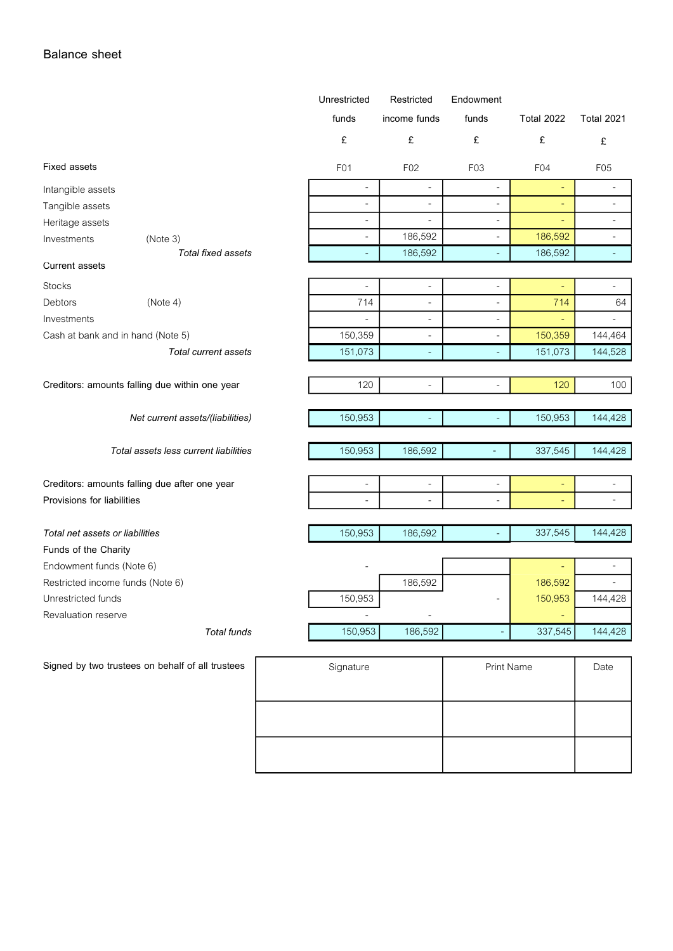## **Balance sheet**

|                                                              |                                                  | Unrestricted             | Restricted               | Endowment                |                    |                          |
|--------------------------------------------------------------|--------------------------------------------------|--------------------------|--------------------------|--------------------------|--------------------|--------------------------|
|                                                              |                                                  | funds                    | income funds             | funds                    | <b>Total 2022</b>  | Total 2021               |
|                                                              |                                                  | £                        | £                        | $\pounds$                | £                  | £                        |
| <b>Fixed assets</b>                                          |                                                  | F01                      | F02                      | F03                      | F04                | F05                      |
| Intangible assets                                            |                                                  | $\overline{a}$           | L.                       | $\overline{a}$           |                    | $\overline{a}$           |
| Tangible assets                                              |                                                  | $\overline{\phantom{a}}$ | $\frac{1}{2}$            |                          |                    | $\overline{\phantom{a}}$ |
| Heritage assets                                              |                                                  | $\overline{\phantom{a}}$ | $\overline{a}$           | $\overline{\phantom{a}}$ |                    | $\blacksquare$           |
| Investments                                                  | (Note 3)                                         | $\overline{\phantom{a}}$ | 186,592                  | $\overline{\phantom{a}}$ | 186,592            | ÷,                       |
|                                                              | Total fixed assets                               | ٠                        | 186,592                  | $\overline{\phantom{a}}$ | 186,592            | $\blacksquare$           |
| <b>Current assets</b>                                        |                                                  |                          |                          |                          |                    |                          |
| Stocks                                                       |                                                  | $\blacksquare$           | $\blacksquare$           | ÷,                       |                    | ÷,                       |
| Debtors                                                      | (Note 4)                                         | 714                      | ÷,                       | ÷,                       | 714                | 64                       |
| Investments                                                  |                                                  |                          | $\overline{\phantom{a}}$ |                          |                    |                          |
| Cash at bank and in hand (Note 5)                            |                                                  | 150,359                  | $\overline{\phantom{a}}$ | $\sim$                   | 150,359            | 144,464                  |
|                                                              | <b>Total current assets</b>                      | 151,073                  |                          |                          | 151,073            | 144,528                  |
|                                                              |                                                  |                          |                          |                          |                    |                          |
|                                                              | Creditors: amounts falling due within one year   | 120                      |                          |                          | 120                | 100                      |
|                                                              |                                                  |                          |                          |                          |                    |                          |
|                                                              | Net current assets/(liabilities)                 | 150,953                  |                          |                          | 150,953            | 144,428                  |
|                                                              | Total assets less current liabilities            | 150,953                  | 186,592                  |                          | 337,545            | 144,428                  |
|                                                              |                                                  |                          |                          |                          |                    |                          |
|                                                              | Creditors: amounts falling due after one year    | $\blacksquare$           | $\overline{\phantom{a}}$ | $\overline{\phantom{a}}$ | ٠                  | $\overline{a}$           |
| Provisions for liabilities                                   |                                                  |                          |                          |                          |                    | $\blacksquare$           |
| Total net assets or liabilities                              |                                                  | 150,953                  | 186,592                  |                          | 337,545            | 144,428                  |
| Funds of the Charity                                         |                                                  |                          |                          |                          |                    |                          |
|                                                              |                                                  |                          |                          |                          |                    | ÷,                       |
| Endowment funds (Note 6)<br>Restricted income funds (Note 6) |                                                  |                          |                          |                          |                    | $\blacksquare$           |
|                                                              |                                                  |                          | 186,592                  |                          | 186,592<br>150,953 |                          |
| Unrestricted funds                                           |                                                  | 150,953                  |                          |                          |                    | 144,428                  |
| Revaluation reserve                                          |                                                  |                          |                          |                          |                    |                          |
|                                                              | <b>Total funds</b>                               | 150,953                  | 186,592                  |                          | 337,545            | 144,428                  |
|                                                              | Signed by two trustees on behalf of all trustees | Signature                |                          | Print Name               |                    | Date                     |
|                                                              |                                                  |                          |                          |                          |                    |                          |

| orgnaturo | <b>THIS INGHILL</b> | Puto |
|-----------|---------------------|------|
|           |                     |      |
|           |                     |      |
|           |                     |      |
|           |                     |      |
|           |                     |      |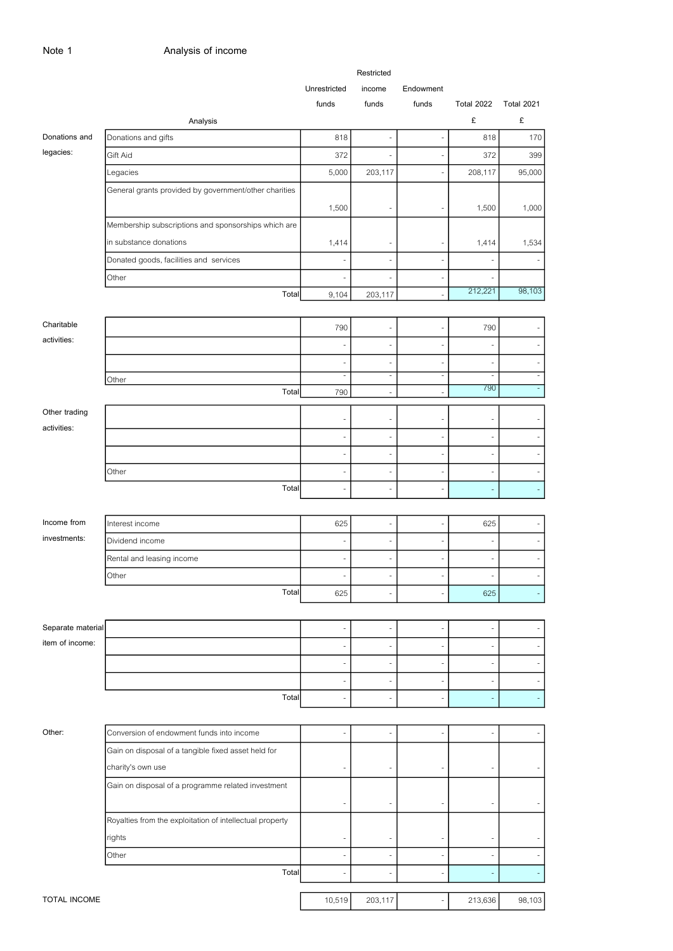|                   |                                                          |              | Restricted               |               |                          |                          |
|-------------------|----------------------------------------------------------|--------------|--------------------------|---------------|--------------------------|--------------------------|
|                   |                                                          | Unrestricted | income                   | Endowment     |                          |                          |
|                   |                                                          | funds        | funds                    | funds         | <b>Total 2022</b>        | <b>Total 2021</b>        |
|                   | Analysis                                                 |              |                          |               | £                        | £                        |
| Donations and     | Donations and gifts                                      | 818          |                          | i.            | 818                      | 170                      |
| legacies:         | Gift Aid                                                 | 372          |                          | Ĭ.            | 372                      | 399                      |
|                   | Legacies                                                 | 5,000        | 203,117                  |               | 208,117                  | 95,000                   |
|                   | General grants provided by government/other charities    |              |                          |               |                          |                          |
|                   |                                                          | 1,500        |                          |               | 1,500                    | 1,000                    |
|                   | Membership subscriptions and sponsorships which are      |              |                          |               |                          |                          |
|                   | in substance donations                                   | 1,414        |                          | -             | 1,414                    | 1,534                    |
|                   | Donated goods, facilities and services                   |              |                          | Ĭ.            |                          |                          |
|                   | Other                                                    | ä,           |                          | ä,            |                          |                          |
|                   | Total                                                    | 9,104        | 203,117                  |               | 212,221                  | 98,103                   |
|                   |                                                          |              |                          |               |                          |                          |
| Charitable        |                                                          | 790          | ä,                       | Ĭ.            | 790                      |                          |
| activities:       |                                                          | ÷,           | ٠                        | ٠             | ٠                        |                          |
|                   |                                                          | ä,           |                          | í.            |                          |                          |
|                   | Other                                                    | ÷,           | $\overline{a}$           | $\frac{1}{2}$ | $\overline{\phantom{m}}$ | $\overline{\phantom{a}}$ |
|                   | Total                                                    | 790          | ٠                        | ٠             | 790                      | $\overline{\phantom{a}}$ |
| Other trading     |                                                          |              |                          |               |                          |                          |
| activities:       |                                                          | ä,           |                          | ٠             |                          |                          |
|                   |                                                          | ٠            |                          | ٠             |                          |                          |
|                   |                                                          |              |                          |               |                          |                          |
|                   | Other                                                    | Ĭ.           | ÷,                       | Ĭ.            |                          |                          |
|                   | Total                                                    | ä,           | ÷,                       | $\sim$        |                          | $\overline{\phantom{a}}$ |
|                   |                                                          |              |                          |               |                          |                          |
| Income from       | Interest income                                          | 625          | ÷                        | $\frac{1}{2}$ | 625                      |                          |
| investments:      | Dividend income                                          |              |                          | ٠             |                          |                          |
|                   | Rental and leasing income                                | ٠            | ٠                        | ٠             |                          |                          |
|                   | Other                                                    |              |                          |               |                          |                          |
|                   | Total                                                    | 625          |                          |               | 625                      |                          |
|                   |                                                          |              |                          |               |                          |                          |
| Separate material |                                                          |              |                          |               |                          |                          |
| item of income:   |                                                          |              |                          |               |                          |                          |
|                   |                                                          |              |                          |               |                          |                          |
|                   |                                                          |              |                          | ۰             |                          |                          |
|                   | Total                                                    |              |                          | ٠             |                          |                          |
|                   |                                                          |              |                          |               |                          |                          |
|                   |                                                          |              |                          |               |                          |                          |
| Other:            | Conversion of endowment funds into income                | ÷,           | $\overline{\phantom{a}}$ | ÷,            | ٠                        |                          |
|                   | Gain on disposal of a tangible fixed asset held for      |              |                          |               |                          |                          |
|                   | charity's own use                                        |              |                          |               |                          |                          |
|                   | Gain on disposal of a programme related investment       |              |                          |               |                          |                          |
|                   |                                                          |              |                          |               |                          |                          |
|                   | Royalties from the exploitation of intellectual property |              |                          |               |                          |                          |
|                   | rights                                                   |              |                          |               |                          |                          |
|                   | Other                                                    |              |                          |               |                          |                          |
|                   | Total                                                    |              |                          |               |                          |                          |
|                   |                                                          |              |                          |               |                          |                          |
| TOTAL INCOME      |                                                          | 10,519       | 203,117                  | L,            | 213,636                  | 98,103                   |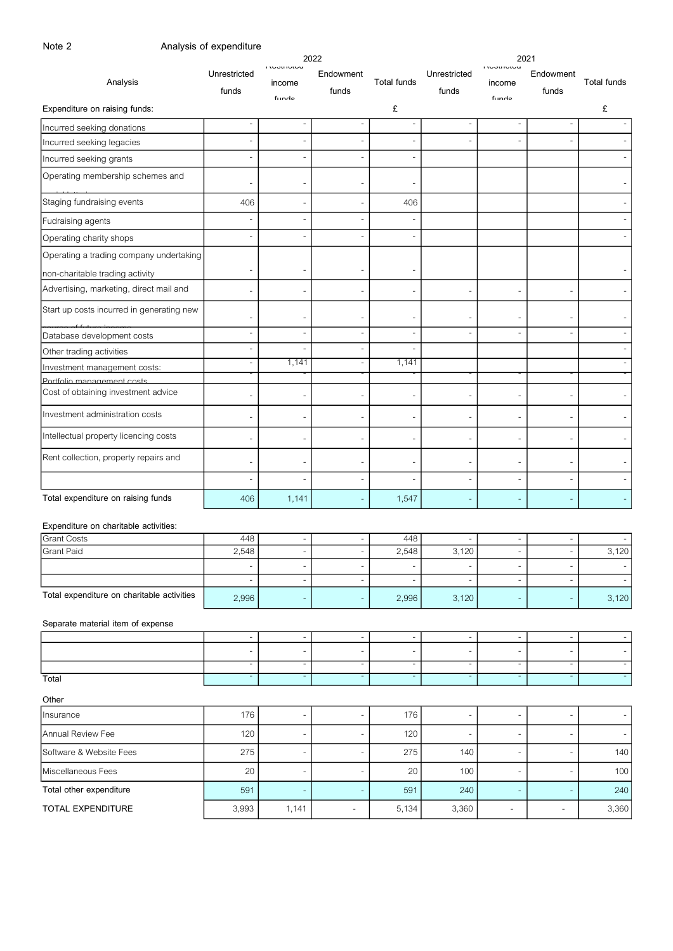| Note 2                                     | Analysis of expenditure  |                                      |                            |                          |                               |                                                      |                          |                          |
|--------------------------------------------|--------------------------|--------------------------------------|----------------------------|--------------------------|-------------------------------|------------------------------------------------------|--------------------------|--------------------------|
| Analysis                                   | Unrestricted<br>funds    | <b>INDOLINICA</b><br>income<br>funde | 2022<br>Endowment<br>funds | <b>Total funds</b>       | Unrestricted<br>funds         | 2021<br><b>INCOUTLICA</b><br>income<br>funde         | Endowment<br>funds       | Total funds              |
| Expenditure on raising funds:              |                          |                                      |                            | £                        |                               |                                                      |                          | £                        |
| Incurred seeking donations                 |                          |                                      | $\overline{\phantom{0}}$   |                          | $\overline{\phantom{a}}$      | $\overline{a}$                                       | $\overline{a}$           |                          |
| Incurred seeking legacies                  |                          |                                      |                            |                          |                               | $\overline{a}$                                       |                          |                          |
| Incurred seeking grants                    |                          |                                      |                            |                          |                               |                                                      |                          |                          |
| Operating membership schemes and           |                          |                                      |                            |                          |                               |                                                      |                          |                          |
| Staging fundraising events                 | 406                      | $\overline{\phantom{0}}$             |                            | 406                      |                               |                                                      |                          |                          |
| Fudraising agents                          |                          | $\overline{\phantom{a}}$             |                            |                          |                               |                                                      |                          |                          |
| Operating charity shops                    | $\overline{\phantom{a}}$ | $\overline{a}$                       |                            | $\overline{a}$           |                               |                                                      |                          |                          |
| Operating a trading company undertaking    |                          |                                      |                            |                          |                               |                                                      |                          |                          |
| non-charitable trading activity            | $\overline{\phantom{a}}$ |                                      |                            |                          |                               |                                                      |                          |                          |
| Advertising, marketing, direct mail and    |                          |                                      |                            |                          | $\overline{\phantom{a}}$      | $\overline{a}$                                       |                          |                          |
| Start up costs incurred in generating new  |                          |                                      |                            |                          |                               | ÷,                                                   |                          |                          |
| Database development costs                 | $\overline{\phantom{a}}$ | $\overline{\phantom{a}}$             | $\overline{\phantom{a}}$   | $\overline{\phantom{0}}$ |                               | $\overline{a}$                                       | $\overline{a}$           |                          |
| Other trading activities                   | $\overline{\phantom{a}}$ | $\overline{a}$                       | $\overline{\phantom{a}}$   | $\overline{\phantom{a}}$ |                               |                                                      |                          |                          |
| Investment management costs:               | $\overline{\phantom{a}}$ | 1,141                                | $\overline{\phantom{a}}$   | 1,141                    |                               |                                                      |                          |                          |
| Portfolio management costs                 |                          |                                      |                            |                          |                               |                                                      |                          |                          |
| Cost of obtaining investment advice        |                          |                                      |                            |                          |                               | $\overline{\phantom{0}}$                             |                          |                          |
| Investment administration costs            |                          |                                      |                            |                          | $\overline{\phantom{a}}$      | ÷,                                                   |                          |                          |
| Intellectual property licencing costs      |                          |                                      |                            |                          |                               | $\overline{a}$                                       |                          |                          |
| Rent collection, property repairs and      |                          |                                      |                            |                          | $\overline{\phantom{a}}$      | $\overline{a}$                                       |                          |                          |
|                                            |                          |                                      |                            |                          |                               | $\overline{a}$                                       |                          |                          |
| Total expenditure on raising funds         | 406                      | 1,141                                |                            | 1,547                    |                               | ÷,                                                   |                          |                          |
| Expenditure on charitable activities:      |                          |                                      |                            |                          |                               |                                                      |                          |                          |
| <b>Grant Costs</b><br>Grant Paid           | 448<br>2,548             | $\qquad \qquad \blacksquare$         | $\overline{\phantom{a}}$   | 448<br>2,548             | 3,120                         | $\overline{a}$<br>$\overline{\phantom{a}}$           | $\overline{a}$           | 3,120                    |
|                                            |                          | $\overline{a}$                       | $\overline{\phantom{a}}$   |                          |                               | $\overline{\phantom{a}}$                             |                          |                          |
|                                            | $\overline{\phantom{a}}$ | $\overline{\phantom{a}}$             | $\overline{\phantom{a}}$   | $\overline{\phantom{a}}$ | $\overline{\phantom{a}}$      | $\overline{\phantom{a}}$                             | $\overline{\phantom{a}}$ | $\overline{\phantom{a}}$ |
| Total expenditure on charitable activities | 2,996                    | $\overline{\phantom{m}}$             | $\overline{\phantom{a}}$   | 2,996                    | 3,120                         | $\blacksquare$                                       | ÷                        | 3,120                    |
| Separate material item of expense          |                          |                                      |                            |                          |                               |                                                      |                          |                          |
|                                            | $\overline{\phantom{a}}$ | $\overline{\phantom{a}}$             | $\overline{\phantom{a}}$   | $\overline{\phantom{a}}$ | $\overline{\phantom{a}}$      | $\overline{\phantom{a}}$                             | $\overline{\phantom{a}}$ |                          |
|                                            | $\overline{\phantom{m}}$ |                                      |                            | $\overline{\phantom{0}}$ | $\overline{\phantom{a}}$<br>Ξ | $\overline{\phantom{a}}$<br>$\overline{\phantom{a}}$ |                          |                          |
| Total                                      |                          |                                      |                            |                          |                               |                                                      |                          |                          |
| Other                                      |                          |                                      |                            |                          |                               |                                                      |                          |                          |
| Insurance                                  | 176                      | $\overline{a}$                       |                            | 176                      | $\overline{\phantom{a}}$      | $\blacksquare$                                       |                          |                          |
| Annual Review Fee                          | 120                      |                                      |                            | 120                      |                               | $\overline{\phantom{a}}$                             |                          |                          |
| Software & Website Fees                    | 275                      |                                      |                            | 275                      | 140                           | $\overline{a}$                                       |                          | 140                      |
| Miscellaneous Fees                         | 20                       | $\overline{\phantom{a}}$             | $\overline{\phantom{a}}$   | 20                       | 100                           | $\blacksquare$                                       | ÷                        | 100                      |
|                                            | 591                      |                                      |                            | 591                      | 240                           | Ξ                                                    |                          | 240                      |
| Total other expenditure                    |                          |                                      |                            |                          |                               |                                                      |                          |                          |
| TOTAL EXPENDITURE                          | 3,993                    | 1,141                                | $\overline{\phantom{a}}$   | 5,134                    | 3,360                         | $\qquad \qquad -$                                    | $\overline{\phantom{0}}$ | 3,360                    |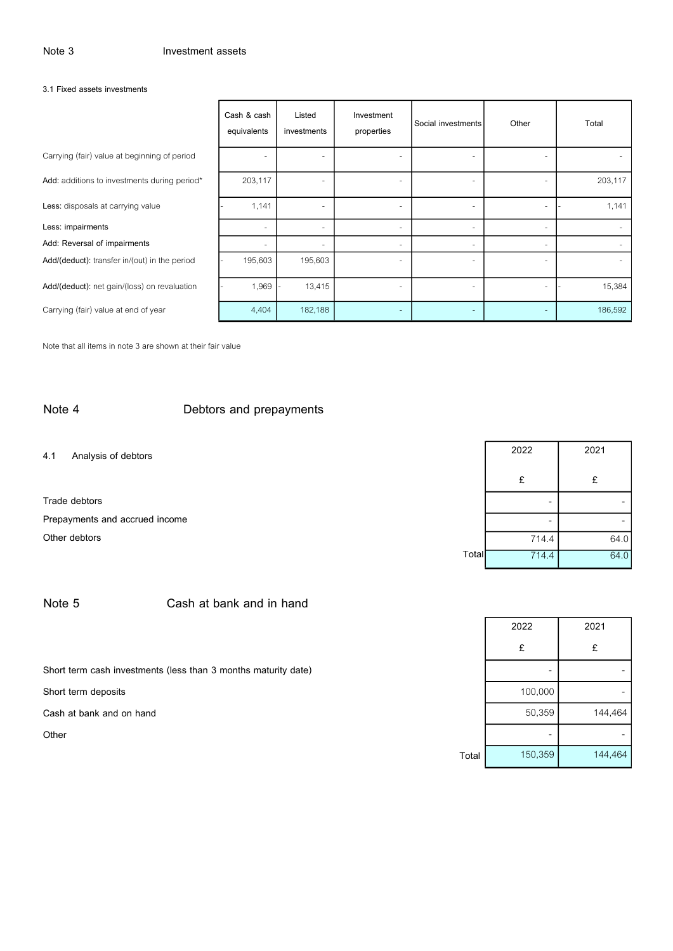#### **3.1 Fixed assets investments**

|                                               | Cash & cash<br>equivalents | Listed<br>investments | Investment<br>properties | Social investments | Other                    | Total   |
|-----------------------------------------------|----------------------------|-----------------------|--------------------------|--------------------|--------------------------|---------|
| Carrying (fair) value at beginning of period  |                            |                       |                          |                    | ۰                        |         |
| Add: additions to investments during period*  | 203,117                    |                       | ٠                        |                    | $\overline{\phantom{a}}$ | 203,117 |
| Less: disposals at carrying value             | 1,141                      |                       | ٠                        |                    | ۰                        | 1,141   |
| Less: impairments                             | $\overline{\phantom{0}}$   |                       | ٠                        |                    | ۰                        |         |
| Add: Reversal of impairments                  | $\overline{\phantom{a}}$   |                       | ٠                        |                    | ٠                        |         |
| Add/(deduct): transfer in/(out) in the period | 195,603                    | 195,603               | $\overline{\phantom{0}}$ |                    | ٠                        |         |
| Add/(deduct): net gain/(loss) on revaluation  | 1,969                      | 13,415                | ٠                        |                    | ٠                        | 15,384  |
| Carrying (fair) value at end of year          | 4,404                      | 182,188               | $\sim$                   |                    | ٠                        | 186,592 |

Note that all items in note 3 are shown at their fair value

## **Note 4 Debtors and prepayments**

**4.1 Analysis of debtors <sup>2022</sup> <sup>2021</sup>**

**Trade debtors**Prepayments and accrued income **Other debtors** 

|       | 2022  | 2021 |  |  |
|-------|-------|------|--|--|
|       | £     | £    |  |  |
|       |       |      |  |  |
|       |       |      |  |  |
|       | 714.4 | 64.0 |  |  |
| Total | 714.4 | 64.0 |  |  |

|                                                                | 2022                     | 2021    |
|----------------------------------------------------------------|--------------------------|---------|
|                                                                | £                        | £       |
| Short term cash investments (less than 3 months maturity date) | $\overline{\phantom{0}}$ |         |
| Short term deposits                                            | 100,000                  |         |
| Cash at bank and on hand                                       | 50,359                   | 144,464 |
| Other                                                          | ۰                        |         |
| Total                                                          | 150,359                  | 144,464 |

## **Note 5 Cash at bank and in hand**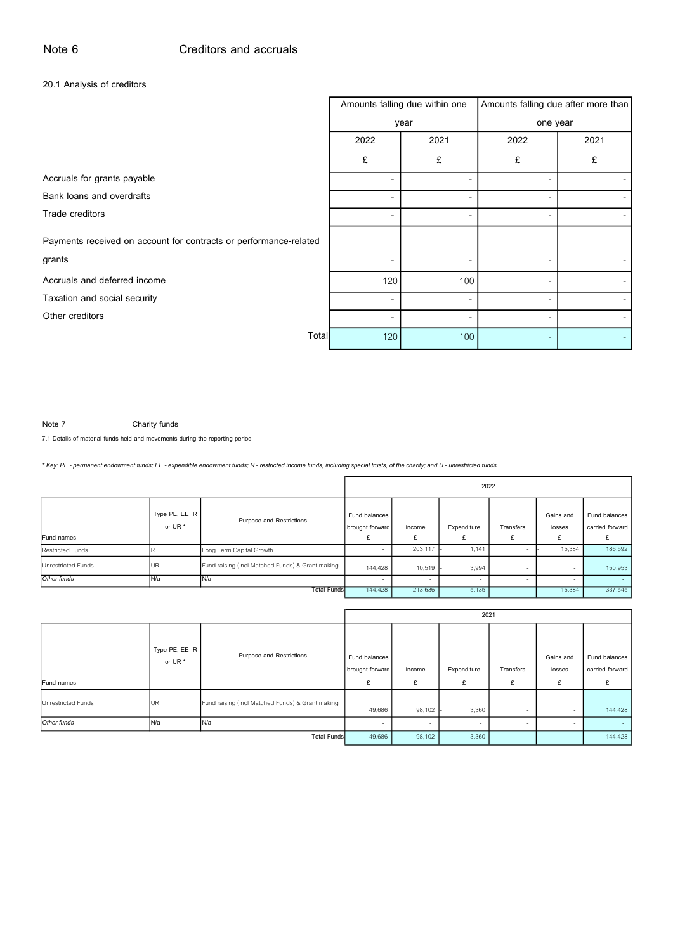## **20.1 Analysis of creditors**

|                                                                   |                          | Amounts falling due within one | Amounts falling due after more than |      |  |  |
|-------------------------------------------------------------------|--------------------------|--------------------------------|-------------------------------------|------|--|--|
|                                                                   |                          | year                           | one year                            |      |  |  |
|                                                                   | 2022                     | 2021                           | 2022                                | 2021 |  |  |
|                                                                   | £                        | £                              | £                                   | £    |  |  |
| Accruals for grants payable                                       |                          |                                |                                     |      |  |  |
| Bank loans and overdrafts                                         | ۰                        |                                |                                     |      |  |  |
| Trade creditors                                                   | ۰                        |                                |                                     |      |  |  |
| Payments received on account for contracts or performance-related |                          |                                |                                     |      |  |  |
| grants                                                            |                          |                                |                                     |      |  |  |
| Accruals and deferred income                                      | 120                      | 100                            |                                     |      |  |  |
| Taxation and social security                                      | $\overline{\phantom{a}}$ |                                |                                     |      |  |  |
| Other creditors                                                   |                          |                                |                                     |      |  |  |
| Total                                                             | 120                      | 100                            |                                     |      |  |  |

**Note 7 Charity funds**

**7.1 Details of material funds held and movements during the reporting period**

*\* Key: PE - permanent endowment funds; EE - expendible endowment funds; R - restricted income funds, including special trusts, of the charity; and U - unrestricted funds*

|                           |                          |                                                  | 2022                                  |             |                  |                          |                          |                                  |  |
|---------------------------|--------------------------|--------------------------------------------------|---------------------------------------|-------------|------------------|--------------------------|--------------------------|----------------------------------|--|
| Fund names                | Type PE, EE R<br>or UR * | Purpose and Restrictions                         | Fund balances<br>brought forward<br>£ | Income<br>£ | Expenditure<br>£ | Transfers<br>£           | Gains and<br>losses<br>£ | Fund balances<br>carried forward |  |
| <b>Restricted Funds</b>   |                          | Long Term Capital Growth                         |                                       | 203,117     | 1.141            | $\overline{\phantom{a}}$ | 15,384                   | 186,592                          |  |
| <b>Unrestricted Funds</b> | UR                       | Fund raising (incl Matched Funds) & Grant making | 144,428                               | 10,519      | 3,994            | $\sim$                   |                          | 150,953                          |  |
| Other funds               | N/a                      | N/a                                              |                                       |             | ж.               |                          |                          | <b>COL</b>                       |  |
| Total Funds               |                          |                                                  | 144,428                               | 213,636     | 5,135            |                          | 15,384                   | 337,545                          |  |

|                           |                          |                                                  | 2021                                  |             |                  |                |                          |                                  |
|---------------------------|--------------------------|--------------------------------------------------|---------------------------------------|-------------|------------------|----------------|--------------------------|----------------------------------|
| Fund names                | Type PE, EE R<br>or UR * | Purpose and Restrictions                         | Fund balances<br>brought forward<br>£ | Income<br>£ | Expenditure<br>£ | Transfers<br>£ | Gains and<br>losses<br>£ | Fund balances<br>carried forward |
| <b>Unrestricted Funds</b> | <b>UR</b>                | Fund raising (incl Matched Funds) & Grant making | 49,686                                | 98,102      | 3,360            |                |                          | 144,428                          |
| Other funds               | N/a                      | N/a                                              |                                       |             | $\sim$           |                |                          | <b>Service</b>                   |
| <b>Total Funds</b>        |                          |                                                  | 49,686                                | 98,102      | 3,360            |                |                          | 144,428                          |